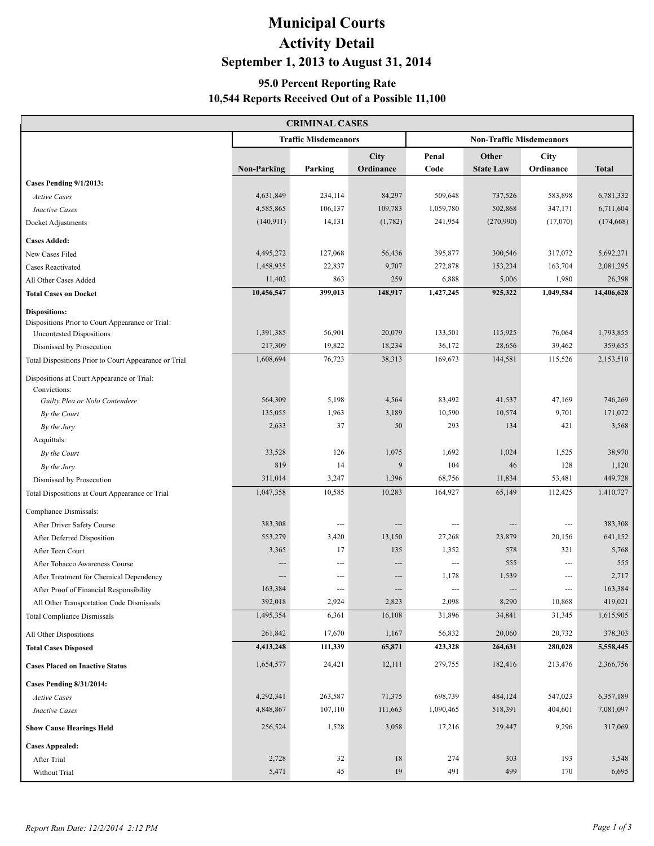# **Municipal Courts Activity Detail September 1, 2013 to August 31, 2014**

### **95.0 Percent Reporting Rate 10,544 Reports Received Out of a Possible 11,100**

| <b>CRIMINAL CASES</b>                                      |                    |                             |           |               |                                 |             |              |  |  |  |
|------------------------------------------------------------|--------------------|-----------------------------|-----------|---------------|---------------------------------|-------------|--------------|--|--|--|
|                                                            |                    | <b>Traffic Misdemeanors</b> |           |               | <b>Non-Traffic Misdemeanors</b> |             |              |  |  |  |
|                                                            |                    |                             | City      | Penal         | Other                           | <b>City</b> |              |  |  |  |
|                                                            | <b>Non-Parking</b> | Parking                     | Ordinance | Code          | <b>State Law</b>                | Ordinance   | <b>Total</b> |  |  |  |
| Cases Pending 9/1/2013:                                    |                    |                             |           |               |                                 |             |              |  |  |  |
| <b>Active Cases</b>                                        | 4,631,849          | 234,114                     | 84,297    | 509,648       | 737,526                         | 583,898     | 6,781,332    |  |  |  |
| <b>Inactive Cases</b>                                      | 4,585,865          | 106,137                     | 109,783   | 1,059,780     | 502,868                         | 347,171     | 6,711,604    |  |  |  |
| Docket Adjustments                                         | (140, 911)         | 14,131                      | (1,782)   | 241,954       | (270,990)                       | (17,070)    | (174, 668)   |  |  |  |
| <b>Cases Added:</b>                                        |                    |                             |           |               |                                 |             |              |  |  |  |
| New Cases Filed                                            | 4,495,272          | 127,068                     | 56,436    | 395,877       | 300,546                         | 317,072     | 5,692,271    |  |  |  |
| <b>Cases Reactivated</b>                                   | 1,458,935          | 22,837                      | 9,707     | 272,878       | 153,234                         | 163,704     | 2,081,295    |  |  |  |
| All Other Cases Added                                      | 11,402             | 863                         | 259       | 6,888         | 5,006                           | 1,980       | 26,398       |  |  |  |
| <b>Total Cases on Docket</b>                               | 10,456,547         | 399,013                     | 148,917   | 1,427,245     | 925,322                         | 1,049,584   | 14,406,628   |  |  |  |
| <b>Dispositions:</b>                                       |                    |                             |           |               |                                 |             |              |  |  |  |
| Dispositions Prior to Court Appearance or Trial:           |                    |                             |           |               |                                 |             |              |  |  |  |
| <b>Uncontested Dispositions</b>                            | 1,391,385          | 56,901                      | 20,079    | 133,501       | 115,925                         | 76,064      | 1,793,855    |  |  |  |
| Dismissed by Prosecution                                   | 217,309            | 19,822                      | 18,234    | 36,172        | 28,656                          | 39,462      | 359,655      |  |  |  |
| Total Dispositions Prior to Court Appearance or Trial      | 1,608,694          | 76,723                      | 38,313    | 169,673       | 144,581                         | 115,526     | 2,153,510    |  |  |  |
| Dispositions at Court Appearance or Trial:<br>Convictions: |                    |                             |           |               |                                 |             |              |  |  |  |
| Guilty Plea or Nolo Contendere                             | 564,309            | 5,198                       | 4,564     | 83,492        | 41,537                          | 47,169      | 746,269      |  |  |  |
| By the Court                                               | 135,055            | 1,963                       | 3,189     | 10,590        | 10,574                          | 9,701       | 171,072      |  |  |  |
| By the Jury                                                | 2,633              | 37                          | 50        | 293           | 134                             | 421         | 3,568        |  |  |  |
| Acquittals:                                                |                    |                             |           |               |                                 |             |              |  |  |  |
| By the Court                                               | 33,528             | 126                         | 1,075     | 1,692         | 1,024                           | 1,525       | 38,970       |  |  |  |
| By the Jury                                                | 819                | 14                          | 9         | 104           | 46                              | 128         | 1,120        |  |  |  |
| Dismissed by Prosecution                                   | 311,014            | 3,247                       | 1,396     | 68,756        | 11,834                          | 53,481      | 449,728      |  |  |  |
| Total Dispositions at Court Appearance or Trial            | 1,047,358          | 10,585                      | 10,283    | 164,927       | 65,149                          | 112,425     | 1,410,727    |  |  |  |
| Compliance Dismissals:                                     |                    |                             |           |               |                                 |             |              |  |  |  |
| After Driver Safety Course                                 | 383,308            | ---                         |           | ---           |                                 | ---         | 383,308      |  |  |  |
| After Deferred Disposition                                 | 553,279            | 3,420                       | 13,150    | 27,268        | 23,879                          | 20,156      | 641,152      |  |  |  |
| After Teen Court                                           | 3,365              | 17                          | 135       | 1,352         | 578                             | 321         | 5,768        |  |  |  |
| After Tobacco Awareness Course                             | $---$              | $\overline{a}$              | ---       | ---           | 555                             | ---         | 555          |  |  |  |
| After Treatment for Chemical Dependency                    |                    | ---                         | ---       | 1,178         | 1,539                           | ---         | 2,717        |  |  |  |
| After Proof of Financial Responsibility                    | 163,384            | $---$                       | $---$     | $\frac{1}{2}$ | ---                             | ---         | 163,384      |  |  |  |
| All Other Transportation Code Dismissals                   | 392,018            | 2,924                       | 2,823     | 2,098         | 8,290                           | 10,868      | 419,021      |  |  |  |
| <b>Total Compliance Dismissals</b>                         | 1,495,354          | 6,361                       | 16,108    | 31,896        | 34,841                          | 31,345      | 1,615,905    |  |  |  |
| All Other Dispositions                                     | 261,842            | 17,670                      | 1,167     | 56,832        | 20,060                          | 20,732      | 378,303      |  |  |  |
| <b>Total Cases Disposed</b>                                | 4,413,248          | 111,339                     | 65,871    | 423,328       | 264,631                         | 280,028     | 5,558,445    |  |  |  |
| <b>Cases Placed on Inactive Status</b>                     | 1,654,577          | 24,421                      | 12,111    | 279,755       | 182,416                         | 213,476     | 2,366,756    |  |  |  |
| <b>Cases Pending 8/31/2014:</b>                            |                    |                             |           |               |                                 |             |              |  |  |  |
| <b>Active Cases</b>                                        | 4,292,341          | 263,587                     | 71,375    | 698,739       | 484,124                         | 547,023     | 6,357,189    |  |  |  |
| <b>Inactive Cases</b>                                      | 4,848,867          | 107,110                     | 111,663   | 1,090,465     | 518,391                         | 404,601     | 7,081,097    |  |  |  |
| <b>Show Cause Hearings Held</b>                            | 256,524            | 1,528                       | 3,058     | 17,216        | 29,447                          | 9,296       | 317,069      |  |  |  |
| <b>Cases Appealed:</b>                                     |                    |                             |           |               |                                 |             |              |  |  |  |
| After Trial                                                | 2,728              | 32                          | $18\,$    | 274           | 303                             | 193         | 3,548        |  |  |  |
| Without Trial                                              | 5,471              | 45                          | $19\,$    | 491           | 499                             | 170         | 6,695        |  |  |  |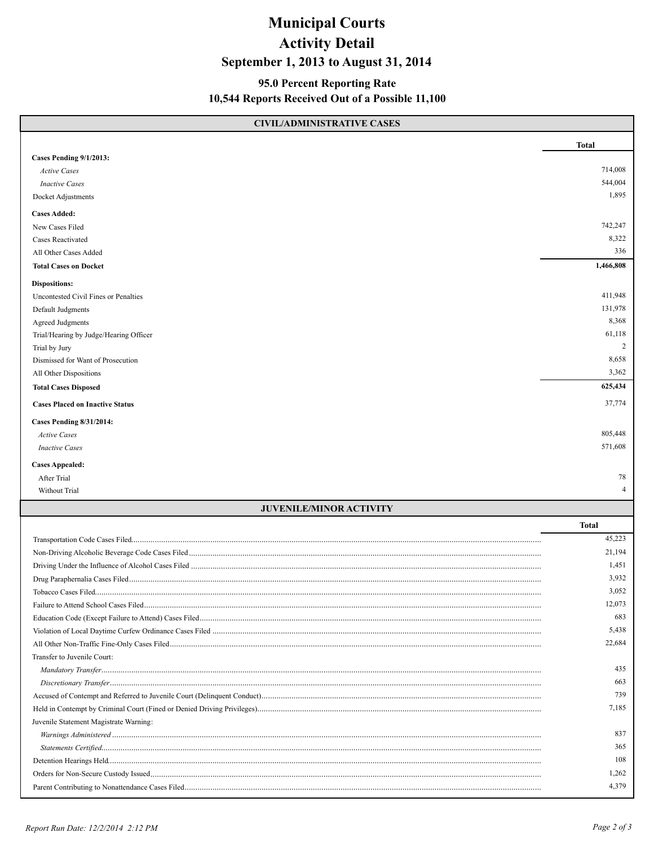## **Municipal Courts Activity Detail September 1, 2013 to August 31, 2014**

#### **95.0 Percent Reporting Rate 10,544 Reports Received Out of a Possible 11,100**

| <b>CIVIL/ADMINISTRATIVE CASES</b>           |                |
|---------------------------------------------|----------------|
|                                             | <b>Total</b>   |
| Cases Pending 9/1/2013:                     |                |
| <b>Active Cases</b>                         | 714,008        |
| <b>Inactive Cases</b>                       | 544,004        |
| Docket Adjustments                          | 1,895          |
| <b>Cases Added:</b>                         |                |
| New Cases Filed                             | 742,247        |
| <b>Cases Reactivated</b>                    | 8,322          |
| All Other Cases Added                       | 336            |
| <b>Total Cases on Docket</b>                | 1,466,808      |
| <b>Dispositions:</b>                        |                |
| Uncontested Civil Fines or Penalties        | 411,948        |
| Default Judgments                           | 131,978        |
| <b>Agreed Judgments</b>                     | 8,368          |
| Trial/Hearing by Judge/Hearing Officer      | 61,118         |
| Trial by Jury                               | $\overline{2}$ |
| Dismissed for Want of Prosecution           | 8,658          |
| All Other Dispositions                      | 3,362          |
| <b>Total Cases Disposed</b>                 | 625,434        |
| <b>Cases Placed on Inactive Status</b>      | 37,774         |
| <b>Cases Pending 8/31/2014:</b>             |                |
| <b>Active Cases</b>                         | 805,448        |
| <b>Inactive Cases</b>                       | 571,608        |
| <b>Cases Appealed:</b>                      |                |
| After Trial                                 | 78             |
| Without Trial                               | $\overline{4}$ |
| <b>JUVENILE/MINOR ACTIVITY</b>              |                |
|                                             | <b>Total</b>   |
|                                             | 45,223         |
|                                             | 21,194         |
|                                             | 1,451          |
|                                             | 3,932          |
|                                             | 3,052          |
|                                             | 12,073         |
|                                             | 683            |
|                                             | 5,438          |
| All Other Non-Traffic Fine-Only Cases Filed | 22,684         |

 *Mandatory Transfer*.............................................................................................................................................................................................................. 435 *Discretionary Transfer*.......................................................................................................................................................................................................... 663 Accused of Contempt and Referred to Juvenile Court (Delinquent Conduct)................................................................................................................................... 739 Held in Contempt by Criminal Court (Fined or Denied Driving Privileges)..................................................................................................................................... 7,185 Juvenile Statement Magistrate Warning: *Warnings Administered* ......................................................................................................................................................................................................... 837 *Statements Certified*.............................................................................................................................................................................................................. 365 Detention Hearings Held........................................................................................................................................................................................................... 108 Orders for Non-Secure Custody Issued....................................................................................................................................................................................... 1,262 Parent Contributing to Nonattendance Cases Filed....................................................................................................................................................................... 4,379